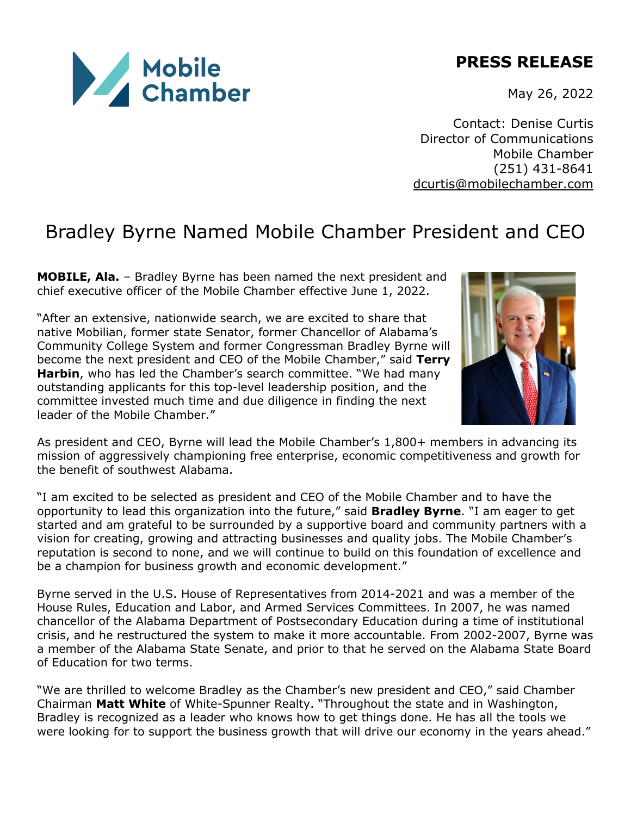

May 26, 2022

Contact: Denise Curtis Director of Communications Mobile Chamber (251) 431-8641 dcurtis@mobilechamber.com

## Bradley Byrne Named Mobile Chamber President and CEO

**MOBILE, Ala.** – Bradley Byrne has been named the next president and chief executive officer of the Mobile Chamber effective June 1, 2022.

"After an extensive, nationwide search, we are excited to share that native Mobilian, former state Senator, former Chancellor of Alabama's Community College System and former Congressman Bradley Byrne will become the next president and CEO of the Mobile Chamber," said **Terry Harbin**, who has led the Chamber's search committee. "We had many outstanding applicants for this top-level leadership position, and the committee invested much time and due diligence in finding the next leader of the Mobile Chamber."



As president and CEO, Byrne will lead the Mobile Chamber's 1,800+ members in advancing its mission of aggressively championing free enterprise, economic competitiveness and growth for the benefit of southwest Alabama.

"I am excited to be selected as president and CEO of the Mobile Chamber and to have the opportunity to lead this organization into the future," said **Bradley Byrne**. "I am eager to get started and am grateful to be surrounded by a supportive board and community partners with a vision for creating, growing and attracting businesses and quality jobs. The Mobile Chamber's reputation is second to none, and we will continue to build on this foundation of excellence and be a champion for business growth and economic development."

Byrne served in the U.S. House of Representatives from 2014-2021 and was a member of the House Rules, Education and Labor, and Armed Services Committees. In 2007, he was named chancellor of the Alabama Department of Postsecondary Education during a time of institutional crisis, and he restructured the system to make it more accountable. From 2002-2007, Byrne was a member of the Alabama State Senate, and prior to that he served on the Alabama State Board of Education for two terms.

"We are thrilled to welcome Bradley as the Chamber's new president and CEO," said Chamber Chairman **Matt White** of White-Spunner Realty. "Throughout the state and in Washington, Bradley is recognized as a leader who knows how to get things done. He has all the tools we were looking for to support the business growth that will drive our economy in the years ahead."